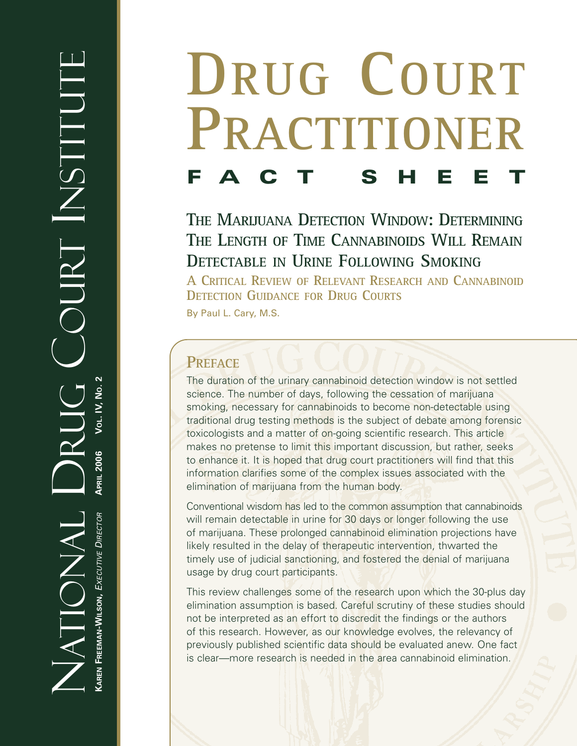# **DRUG COURT PRACTITIONER FACT SHEET**

**THE MARIJUANA DETECTION WINDOW: DETERMINING THE LENGTH OF TIME CANNABINOIDS WILL REMAIN DETECTABLE IN URINE FOLLOWING SMOKING**

**A CRITICAL REVIEW OF RELEVANT RESEARCH AND CANNABINOID DETECTION GUIDANCE FOR DRUG COURTS**

By Paul L. Cary, M.S.

# **PREFACE**

The duration of the urinary cannabinoid detection window is not settled science. The number of days, following the cessation of marijuana smoking, necessary for cannabinoids to become non-detectable using traditional drug testing methods is the subject of debate among forensic toxicologists and a matter of on-going scientific research. This article makes no pretense to limit this important discussion, but rather, seeks to enhance it. It is hoped that drug court practitioners will find that this information clarifies some of the complex issues associated with the elimination of marijuana from the human body.

Conventional wisdom has led to the common assumption that cannabinoids will remain detectable in urine for 30 days or longer following the use of marijuana. These prolonged cannabinoid elimination projections have likely resulted in the delay of therapeutic intervention, thwarted the timely use of judicial sanctioning, and fostered the denial of marijuana usage by drug court participants.

This review challenges some of the research upon which the 30-plus day elimination assumption is based. Careful scrutiny of these studies should not be interpreted as an effort to discredit the findings or the authors of this research. However, as our knowledge evolves, the relevancy of previously published scientific data should be evaluated anew. One fact is clear—more research is needed in the area cannabinoid elimination.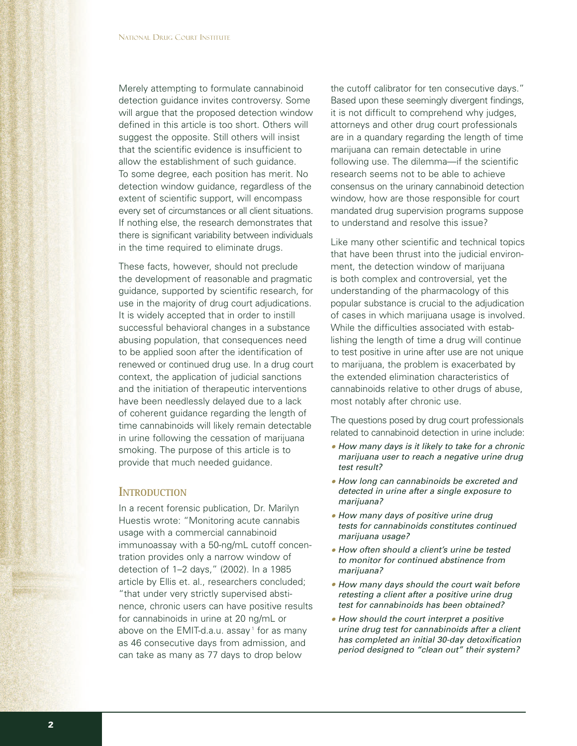Merely attempting to formulate cannabinoid detection guidance invites controversy. Some will argue that the proposed detection window defined in this article is too short. Others will suggest the opposite. Still others will insist that the scientific evidence is insufficient to allow the establishment of such guidance. To some degree, each position has merit. No detection window guidance, regardless of the extent of scientific support, will encompass every set of circumstances or all client situations. If nothing else, the research demonstrates that there is significant variability between individuals in the time required to eliminate drugs.

These facts, however, should not preclude the development of reasonable and pragmatic guidance, supported by scientific research, for use in the majority of drug court adjudications. It is widely accepted that in order to instill successful behavioral changes in a substance abusing population, that consequences need to be applied soon after the identification of renewed or continued drug use. In a drug court context, the application of judicial sanctions and the initiation of therapeutic interventions have been needlessly delayed due to a lack of coherent guidance regarding the length of time cannabinoids will likely remain detectable in urine following the cessation of marijuana smoking. The purpose of this article is to provide that much needed guidance.

#### **INTRODUCTION**

In a recent forensic publication, Dr. Marilyn Huestis wrote: "Monitoring acute cannabis usage with a commercial cannabinoid immunoassay with a 50-ng/mL cutoff concentration provides only a narrow window of detection of 1–2 days," (2002). In a 1985 article by Ellis et. al., researchers concluded; "that under very strictly supervised abstinence, chronic users can have positive results for cannabinoids in urine at 20 ng/mL or above on the EMIT-d.a.u. assay<sup>1</sup> for as many as 46 consecutive days from admission, and can take as many as 77 days to drop below

the cutoff calibrator for ten consecutive days." Based upon these seemingly divergent findings, it is not difficult to comprehend why judges, attorneys and other drug court professionals are in a quandary regarding the length of time marijuana can remain detectable in urine following use. The dilemma—if the scientific research seems not to be able to achieve consensus on the urinary cannabinoid detection window, how are those responsible for court mandated drug supervision programs suppose to understand and resolve this issue?

Like many other scientific and technical topics that have been thrust into the judicial environment, the detection window of marijuana is both complex and controversial, yet the understanding of the pharmacology of this popular substance is crucial to the adjudication of cases in which marijuana usage is involved. While the difficulties associated with establishing the length of time a drug will continue to test positive in urine after use are not unique to marijuana, the problem is exacerbated by the extended elimination characteristics of cannabinoids relative to other drugs of abuse, most notably after chronic use.

The questions posed by drug court professionals related to cannabinoid detection in urine include:

- *• How many days is it likely to take for a chronic marijuana user to reach a negative urine drug test result?*
- *• How long can cannabinoids be excreted and detected in urine after a single exposure to marijuana?*
- *• How many days of positive urine drug tests for cannabinoids constitutes continued marijuana usage?*
- *• How often should a client's urine be tested to monitor for continued abstinence from marijuana?*
- *• How many days should the court wait before retesting a client after a positive urine drug test for cannabinoids has been obtained?*
- *• How should the court interpret a positive urine drug test for cannabinoids after a client has completed an initial 30-day detoxification period designed to "clean out" their system?*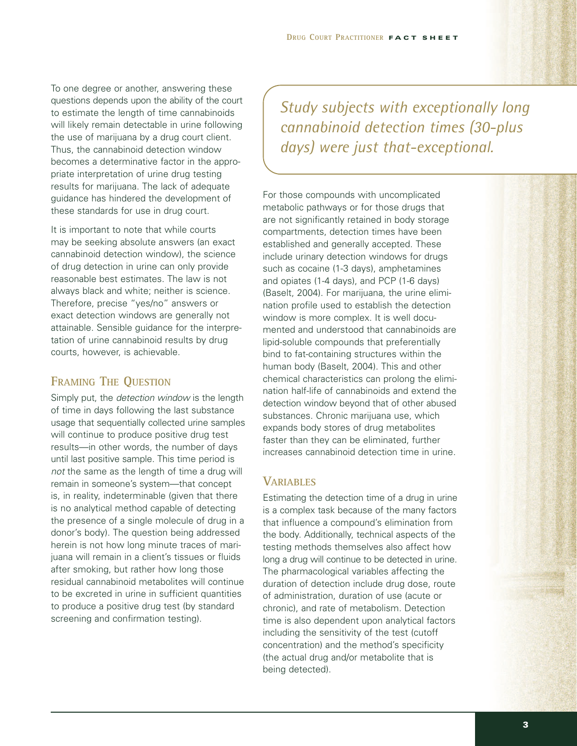To one degree or another, answering these questions depends upon the ability of the court to estimate the length of time cannabinoids will likely remain detectable in urine following the use of marijuana by a drug court client. Thus, the cannabinoid detection window becomes a determinative factor in the appropriate interpretation of urine drug testing results for marijuana. The lack of adequate guidance has hindered the development of these standards for use in drug court.

It is important to note that while courts may be seeking absolute answers (an exact cannabinoid detection window), the science of drug detection in urine can only provide reasonable best estimates. The law is not always black and white; neither is science. Therefore, precise "yes/no" answers or exact detection windows are generally not attainable. Sensible guidance for the interpretation of urine cannabinoid results by drug courts, however, is achievable.

### **FRAMING THE QUESTION**

Simply put, the *detection window* is the length of time in days following the last substance usage that sequentially collected urine samples will continue to produce positive drug test results—in other words, the number of days until last positive sample. This time period is *not* the same as the length of time a drug will remain in someone's system—that concept is, in reality, indeterminable (given that there is no analytical method capable of detecting the presence of a single molecule of drug in a donor's body). The question being addressed herein is not how long minute traces of marijuana will remain in a client's tissues or fluids after smoking, but rather how long those residual cannabinoid metabolites will continue to be excreted in urine in sufficient quantities to produce a positive drug test (by standard screening and confirmation testing).

*Study subjects with exceptionally long cannabinoid detection times (30-plus days) were just that-exceptional.*

For those compounds with uncomplicated metabolic pathways or for those drugs that are not significantly retained in body storage compartments, detection times have been established and generally accepted. These include urinary detection windows for drugs such as cocaine (1-3 days), amphetamines and opiates (1-4 days), and PCP (1-6 days) (Baselt, 2004). For marijuana, the urine elimination profile used to establish the detection window is more complex. It is well documented and understood that cannabinoids are lipid-soluble compounds that preferentially bind to fat-containing structures within the human body (Baselt, 2004). This and other chemical characteristics can prolong the elimination half-life of cannabinoids and extend the detection window beyond that of other abused substances. Chronic marijuana use, which expands body stores of drug metabolites faster than they can be eliminated, further increases cannabinoid detection time in urine.

## **VARIABLES**

Estimating the detection time of a drug in urine is a complex task because of the many factors that influence a compound's elimination from the body. Additionally, technical aspects of the testing methods themselves also affect how long a drug will continue to be detected in urine. The pharmacological variables affecting the duration of detection include drug dose, route of administration, duration of use (acute or chronic), and rate of metabolism. Detection time is also dependent upon analytical factors including the sensitivity of the test (cutoff concentration) and the method's specificity (the actual drug and/or metabolite that is being detected).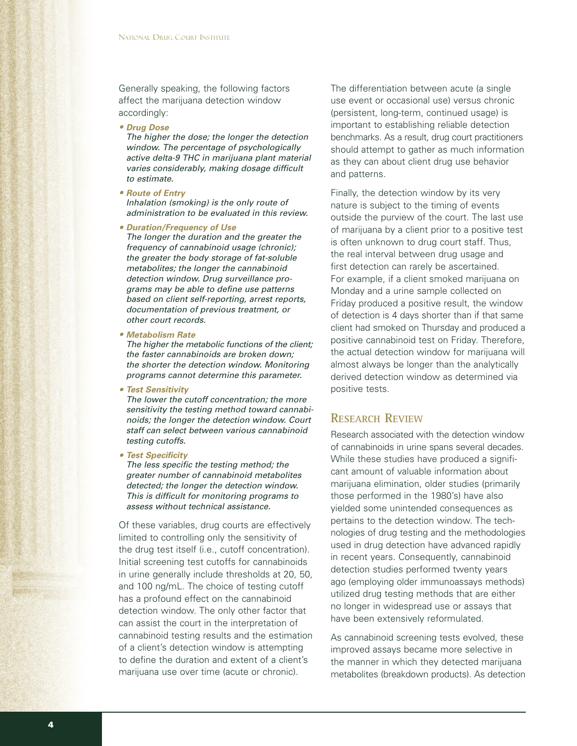Generally speaking, the following factors affect the marijuana detection window accordingly:

*• Drug Dose*

*The higher the dose; the longer the detection window. The percentage of psychologically active delta-9 THC in marijuana plant material varies considerably, making dosage difficult to estimate.*

- *• Route of Entry Inhalation (smoking) is the only route of administration to be evaluated in this review.*
- *• Duration/Frequency of Use The longer the duration and the greater the frequency of cannabinoid usage (chronic); the greater the body storage of fat-soluble metabolites; the longer the cannabinoid detection window. Drug surveillance programs may be able to define use patterns based on client self-reporting, arrest reports, documentation of previous treatment, or other court records.*
- *• Metabolism Rate*

*The higher the metabolic functions of the client; the faster cannabinoids are broken down; the shorter the detection window. Monitoring programs cannot determine this parameter.* 

*• Test Sensitivity*

*The lower the cutoff concentration; the more sensitivity the testing method toward cannabinoids; the longer the detection window. Court staff can select between various cannabinoid testing cutoffs.*

*• Test Specificity*

*The less specific the testing method; the greater number of cannabinoid metabolites detected; the longer the detection window. This is difficult for monitoring programs to assess without technical assistance.* 

Of these variables, drug courts are effectively limited to controlling only the sensitivity of the drug test itself (i.e., cutoff concentration). Initial screening test cutoffs for cannabinoids in urine generally include thresholds at 20, 50, and 100 ng/mL. The choice of testing cutoff has a profound effect on the cannabinoid detection window. The only other factor that can assist the court in the interpretation of cannabinoid testing results and the estimation of a client's detection window is attempting to define the duration and extent of a client's marijuana use over time (acute or chronic).

The differentiation between acute (a single use event or occasional use) versus chronic (persistent, long-term, continued usage) is important to establishing reliable detection benchmarks. As a result, drug court practitioners should attempt to gather as much information as they can about client drug use behavior and patterns.

Finally, the detection window by its very nature is subject to the timing of events outside the purview of the court. The last use of marijuana by a client prior to a positive test is often unknown to drug court staff. Thus, the real interval between drug usage and first detection can rarely be ascertained. For example, if a client smoked marijuana on Monday and a urine sample collected on Friday produced a positive result, the window of detection is 4 days shorter than if that same client had smoked on Thursday and produced a positive cannabinoid test on Friday. Therefore, the actual detection window for marijuana will almost always be longer than the analytically derived detection window as determined via positive tests.

#### **RESEARCH REVIEW**

Research associated with the detection window of cannabinoids in urine spans several decades. While these studies have produced a significant amount of valuable information about marijuana elimination, older studies (primarily those performed in the 1980's) have also yielded some unintended consequences as pertains to the detection window. The technologies of drug testing and the methodologies used in drug detection have advanced rapidly in recent years. Consequently, cannabinoid detection studies performed twenty years ago (employing older immunoassays methods) utilized drug testing methods that are either no longer in widespread use or assays that have been extensively reformulated.

As cannabinoid screening tests evolved, these improved assays became more selective in the manner in which they detected marijuana metabolites (breakdown products). As detection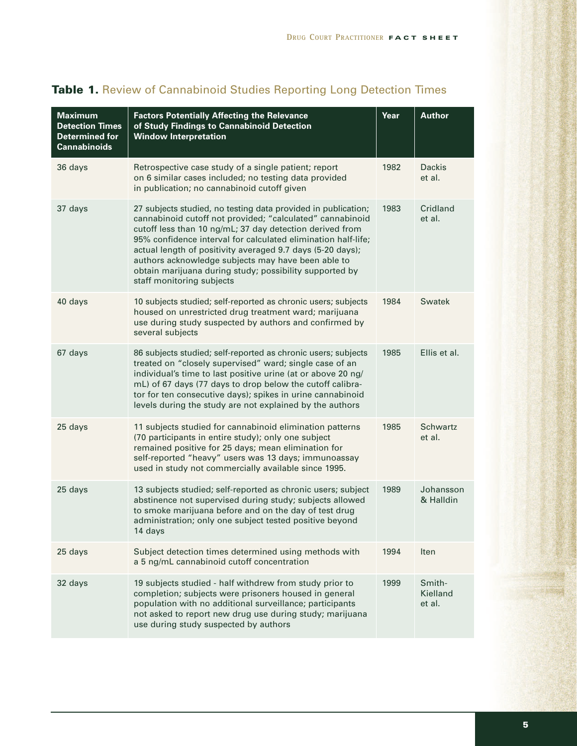| <b>Maximum</b><br><b>Detection Times</b><br><b>Determined for</b><br><b>Cannabinoids</b> | <b>Factors Potentially Affecting the Relevance</b><br>of Study Findings to Cannabinoid Detection<br><b>Window Interpretation</b>                                                                                                                                                                                                                                                                                                                                    | Year | <b>Author</b>                |
|------------------------------------------------------------------------------------------|---------------------------------------------------------------------------------------------------------------------------------------------------------------------------------------------------------------------------------------------------------------------------------------------------------------------------------------------------------------------------------------------------------------------------------------------------------------------|------|------------------------------|
| 36 days                                                                                  | Retrospective case study of a single patient; report<br>on 6 similar cases included; no testing data provided<br>in publication; no cannabinoid cutoff given                                                                                                                                                                                                                                                                                                        | 1982 | <b>Dackis</b><br>et al.      |
| 37 days                                                                                  | 27 subjects studied, no testing data provided in publication;<br>cannabinoid cutoff not provided; "calculated" cannabinoid<br>cutoff less than 10 ng/mL; 37 day detection derived from<br>95% confidence interval for calculated elimination half-life;<br>actual length of positivity averaged 9.7 days (5-20 days);<br>authors acknowledge subjects may have been able to<br>obtain marijuana during study; possibility supported by<br>staff monitoring subjects | 1983 | Cridland<br>et al.           |
| 40 days                                                                                  | 10 subjects studied; self-reported as chronic users; subjects<br>housed on unrestricted drug treatment ward; marijuana<br>use during study suspected by authors and confirmed by<br>several subjects                                                                                                                                                                                                                                                                | 1984 | <b>Swatek</b>                |
| 67 days                                                                                  | 86 subjects studied; self-reported as chronic users; subjects<br>treated on "closely supervised" ward; single case of an<br>individual's time to last positive urine (at or above 20 ng/<br>mL) of 67 days (77 days to drop below the cutoff calibra-<br>tor for ten consecutive days); spikes in urine cannabinoid<br>levels during the study are not explained by the authors                                                                                     | 1985 | Ellis et al.                 |
| 25 days                                                                                  | 11 subjects studied for cannabinoid elimination patterns<br>(70 participants in entire study); only one subject<br>remained positive for 25 days; mean elimination for<br>self-reported "heavy" users was 13 days; immunoassay<br>used in study not commercially available since 1995.                                                                                                                                                                              | 1985 | <b>Schwartz</b><br>et al.    |
| 25 days                                                                                  | 13 subjects studied; self-reported as chronic users; subject<br>abstinence not supervised during study; subjects allowed<br>to smoke marijuana before and on the day of test drug<br>administration; only one subject tested positive beyond<br>14 days                                                                                                                                                                                                             | 1989 | Johansson<br>& Halldin       |
| 25 days                                                                                  | Subject detection times determined using methods with<br>a 5 ng/mL cannabinoid cutoff concentration                                                                                                                                                                                                                                                                                                                                                                 | 1994 | Iten                         |
| 32 days                                                                                  | 19 subjects studied - half withdrew from study prior to<br>completion; subjects were prisoners housed in general<br>population with no additional surveillance; participants<br>not asked to report new drug use during study; marijuana<br>use during study suspected by authors                                                                                                                                                                                   | 1999 | Smith-<br>Kielland<br>et al. |

# **Table 1.** Review of Cannabinoid Studies Reporting Long Detection Times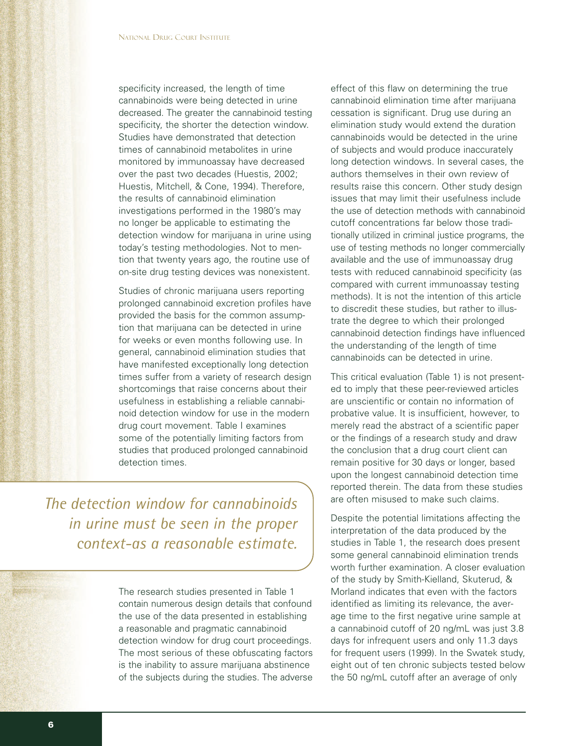specificity increased, the length of time cannabinoids were being detected in urine decreased. The greater the cannabinoid testing specificity, the shorter the detection window. Studies have demonstrated that detection times of cannabinoid metabolites in urine monitored by immunoassay have decreased over the past two decades (Huestis, 2002; Huestis, Mitchell, & Cone, 1994). Therefore, the results of cannabinoid elimination investigations performed in the 1980's may no longer be applicable to estimating the detection window for marijuana in urine using today's testing methodologies. Not to mention that twenty years ago, the routine use of on-site drug testing devices was nonexistent.

Studies of chronic marijuana users reporting prolonged cannabinoid excretion profiles have provided the basis for the common assumption that marijuana can be detected in urine for weeks or even months following use. In general, cannabinoid elimination studies that have manifested exceptionally long detection times suffer from a variety of research design shortcomings that raise concerns about their usefulness in establishing a reliable cannabinoid detection window for use in the modern drug court movement. Table I examines some of the potentially limiting factors from studies that produced prolonged cannabinoid detection times.

*The detection window for cannabinoids in urine must be seen in the proper context-as a reasonable estimate.*

> The research studies presented in Table 1 contain numerous design details that confound the use of the data presented in establishing a reasonable and pragmatic cannabinoid detection window for drug court proceedings. The most serious of these obfuscating factors is the inability to assure marijuana abstinence of the subjects during the studies. The adverse

effect of this flaw on determining the true cannabinoid elimination time after marijuana cessation is significant. Drug use during an elimination study would extend the duration cannabinoids would be detected in the urine of subjects and would produce inaccurately long detection windows. In several cases, the authors themselves in their own review of results raise this concern. Other study design issues that may limit their usefulness include the use of detection methods with cannabinoid cutoff concentrations far below those traditionally utilized in criminal justice programs, the use of testing methods no longer commercially available and the use of immunoassay drug tests with reduced cannabinoid specificity (as compared with current immunoassay testing methods). It is not the intention of this article to discredit these studies, but rather to illustrate the degree to which their prolonged cannabinoid detection findings have influenced the understanding of the length of time cannabinoids can be detected in urine.

This critical evaluation (Table 1) is not presented to imply that these peer-reviewed articles are unscientific or contain no information of probative value. It is insufficient, however, to merely read the abstract of a scientific paper or the findings of a research study and draw the conclusion that a drug court client can remain positive for 30 days or longer, based upon the longest cannabinoid detection time reported therein. The data from these studies are often misused to make such claims.

Despite the potential limitations affecting the interpretation of the data produced by the studies in Table 1, the research does present some general cannabinoid elimination trends worth further examination. A closer evaluation of the study by Smith-Kielland, Skuterud, & Morland indicates that even with the factors identified as limiting its relevance, the average time to the first negative urine sample at a cannabinoid cutoff of 20 ng/mL was just 3.8 days for infrequent users and only 11.3 days for frequent users (1999). In the Swatek study, eight out of ten chronic subjects tested below the 50 ng/mL cutoff after an average of only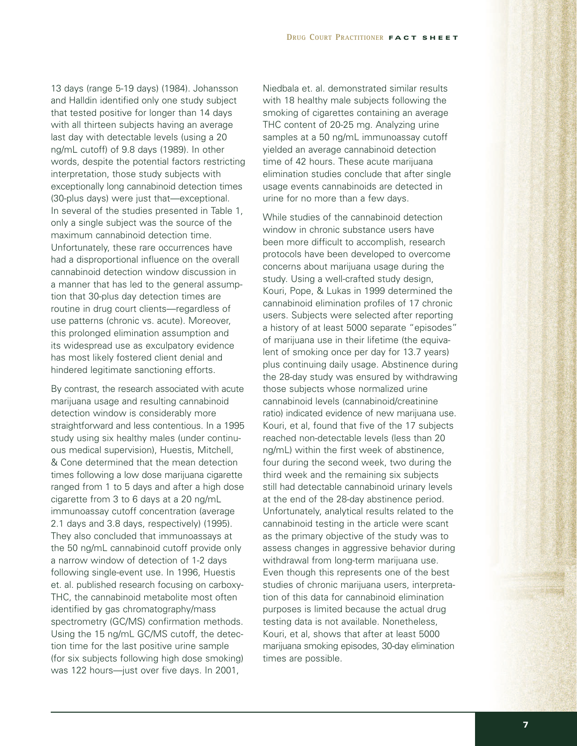13 days (range 5-19 days) (1984). Johansson and Halldin identified only one study subject that tested positive for longer than 14 days with all thirteen subjects having an average last day with detectable levels (using a 20 ng/mL cutoff) of 9.8 days (1989). In other words, despite the potential factors restricting interpretation, those study subjects with exceptionally long cannabinoid detection times (30-plus days) were just that—exceptional. In several of the studies presented in Table 1, only a single subject was the source of the maximum cannabinoid detection time. Unfortunately, these rare occurrences have had a disproportional influence on the overall cannabinoid detection window discussion in a manner that has led to the general assumption that 30-plus day detection times are routine in drug court clients—regardless of use patterns (chronic vs. acute). Moreover, this prolonged elimination assumption and its widespread use as exculpatory evidence has most likely fostered client denial and hindered legitimate sanctioning efforts.

By contrast, the research associated with acute marijuana usage and resulting cannabinoid detection window is considerably more straightforward and less contentious. In a 1995 study using six healthy males (under continuous medical supervision), Huestis, Mitchell, & Cone determined that the mean detection times following a low dose marijuana cigarette ranged from 1 to 5 days and after a high dose cigarette from 3 to 6 days at a 20 ng/mL immunoassay cutoff concentration (average 2.1 days and 3.8 days, respectively) (1995). They also concluded that immunoassays at the 50 ng/mL cannabinoid cutoff provide only a narrow window of detection of 1-2 days following single-event use. In 1996, Huestis et. al. published research focusing on carboxy-THC, the cannabinoid metabolite most often identified by gas chromatography/mass spectrometry (GC/MS) confirmation methods. Using the 15 ng/mL GC/MS cutoff, the detection time for the last positive urine sample (for six subjects following high dose smoking) was 122 hours—just over five days. In 2001,

Niedbala et. al. demonstrated similar results with 18 healthy male subjects following the smoking of cigarettes containing an average THC content of 20-25 mg. Analyzing urine samples at a 50 ng/mL immunoassay cutoff yielded an average cannabinoid detection time of 42 hours. These acute marijuana elimination studies conclude that after single usage events cannabinoids are detected in urine for no more than a few days.

While studies of the cannabinoid detection window in chronic substance users have been more difficult to accomplish, research protocols have been developed to overcome concerns about marijuana usage during the study. Using a well-crafted study design, Kouri, Pope, & Lukas in 1999 determined the cannabinoid elimination profiles of 17 chronic users. Subjects were selected after reporting a history of at least 5000 separate "episodes" of marijuana use in their lifetime (the equivalent of smoking once per day for 13.7 years) plus continuing daily usage. Abstinence during the 28-day study was ensured by withdrawing those subjects whose normalized urine cannabinoid levels (cannabinoid/creatinine ratio) indicated evidence of new marijuana use. Kouri, et al, found that five of the 17 subjects reached non-detectable levels (less than 20 ng/mL) within the first week of abstinence, four during the second week, two during the third week and the remaining six subjects still had detectable cannabinoid urinary levels at the end of the 28-day abstinence period. Unfortunately, analytical results related to the cannabinoid testing in the article were scant as the primary objective of the study was to assess changes in aggressive behavior during withdrawal from long-term marijuana use. Even though this represents one of the best studies of chronic marijuana users, interpretation of this data for cannabinoid elimination purposes is limited because the actual drug testing data is not available. Nonetheless, Kouri, et al, shows that after at least 5000 marijuana smoking episodes, 30-day elimination times are possible.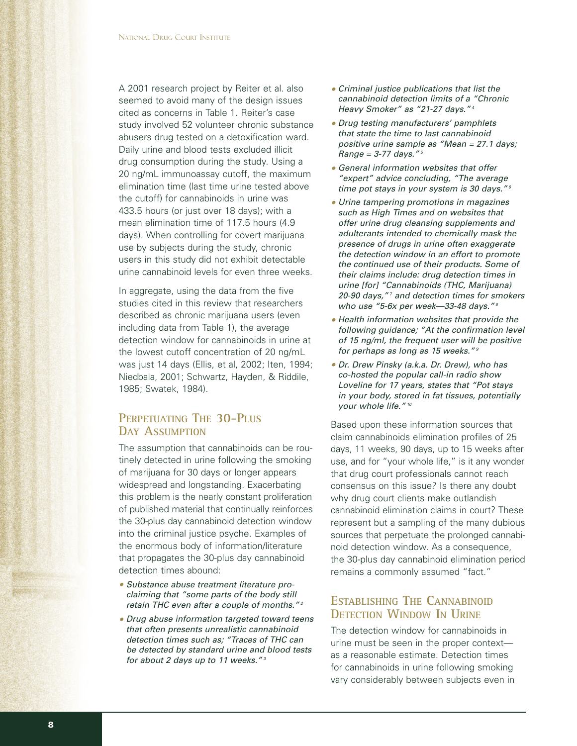A 2001 research project by Reiter et al. also seemed to avoid many of the design issues cited as concerns in Table 1. Reiter's case study involved 52 volunteer chronic substance abusers drug tested on a detoxification ward. Daily urine and blood tests excluded illicit drug consumption during the study. Using a 20 ng/mL immunoassay cutoff, the maximum elimination time (last time urine tested above the cutoff) for cannabinoids in urine was 433.5 hours (or just over 18 days); with a mean elimination time of 117.5 hours (4.9 days). When controlling for covert marijuana use by subjects during the study, chronic users in this study did not exhibit detectable urine cannabinoid levels for even three weeks.

In aggregate, using the data from the five studies cited in this review that researchers described as chronic marijuana users (even including data from Table 1), the average detection window for cannabinoids in urine at the lowest cutoff concentration of 20 ng/mL was just 14 days (Ellis, et al, 2002; Iten, 1994; Niedbala, 2001; Schwartz, Hayden, & Riddile, 1985; Swatek, 1984).

### **PERPETUATING THE 30-PLUS DAY ASSUMPTION**

The assumption that cannabinoids can be routinely detected in urine following the smoking of marijuana for 30 days or longer appears widespread and longstanding. Exacerbating this problem is the nearly constant proliferation of published material that continually reinforces the 30-plus day cannabinoid detection window into the criminal justice psyche. Examples of the enormous body of information/literature that propagates the 30-plus day cannabinoid detection times abound:

- *• Substance abuse treatment literature proclaiming that "some parts of the body still retain THC even after a couple of months." <sup>2</sup>*
- *• Drug abuse information targeted toward teens that often presents unrealistic cannabinoid detection times such as; "Traces of THC can be detected by standard urine and blood tests for about 2 days up to 11 weeks." <sup>3</sup>*
- *• Criminal justice publications that list the cannabinoid detection limits of a "Chronic Heavy Smoker" as "21-27 days." <sup>4</sup>*
- *• Drug testing manufacturers' pamphlets that state the time to last cannabinoid positive urine sample as "Mean = 27.1 days; Range = 3-77 days." <sup>5</sup>*
- *• General information websites that offer "expert" advice concluding, "The average time pot stays in your system is 30 days." <sup>6</sup>*
- *• Urine tampering promotions in magazines such as High Times and on websites that offer urine drug cleansing supplements and adulterants intended to chemically mask the presence of drugs in urine often exaggerate the detection window in an effort to promote the continued use of their products. Some of their claims include: drug detection times in urine [for] "Cannabinoids (THC, Marijuana) 20-90 days," <sup>7</sup> and detection times for smokers who use "5-6x per week—33-48 days." <sup>8</sup>*
- *• Health information websites that provide the following guidance; "At the confirmation level of 15 ng/ml, the frequent user will be positive for perhaps as long as 15 weeks." <sup>9</sup>*
- *• Dr. Drew Pinsky (a.k.a. Dr. Drew), who has co-hosted the popular call-in radio show Loveline for 17 years, states that "Pot stays in your body, stored in fat tissues, potentially your whole life." <sup>10</sup>*

Based upon these information sources that claim cannabinoids elimination profiles of 25 days, 11 weeks, 90 days, up to 15 weeks after use, and for "your whole life," is it any wonder that drug court professionals cannot reach consensus on this issue? Is there any doubt why drug court clients make outlandish cannabinoid elimination claims in court? These represent but a sampling of the many dubious sources that perpetuate the prolonged cannabinoid detection window. As a consequence, the 30-plus day cannabinoid elimination period remains a commonly assumed "fact."

### **ESTABLISHING THE CANNABINOID DETECTION WINDOW IN URINE**

The detection window for cannabinoids in urine must be seen in the proper context as a reasonable estimate. Detection times for cannabinoids in urine following smoking vary considerably between subjects even in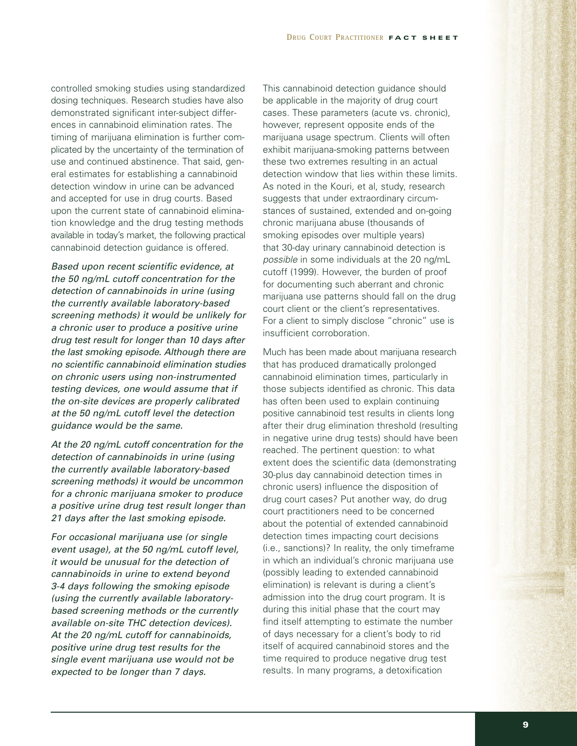controlled smoking studies using standardized dosing techniques. Research studies have also demonstrated significant inter-subject differences in cannabinoid elimination rates. The timing of marijuana elimination is further complicated by the uncertainty of the termination of use and continued abstinence. That said, general estimates for establishing a cannabinoid detection window in urine can be advanced and accepted for use in drug courts. Based upon the current state of cannabinoid elimination knowledge and the drug testing methods available in today's market, the following practical cannabinoid detection guidance is offered.

*Based upon recent scientific evidence, at the 50 ng/mL cutoff concentration for the detection of cannabinoids in urine (using the currently available laboratory-based screening methods) it would be unlikely for a chronic user to produce a positive urine drug test result for longer than 10 days after the last smoking episode. Although there are no scientific cannabinoid elimination studies on chronic users using non-instrumented testing devices, one would assume that if the on-site devices are properly calibrated at the 50 ng/mL cutoff level the detection guidance would be the same.*

*At the 20 ng/mL cutoff concentration for the detection of cannabinoids in urine (using the currently available laboratory-based screening methods) it would be uncommon for a chronic marijuana smoker to produce a positive urine drug test result longer than 21 days after the last smoking episode.*

*For occasional marijuana use (or single event usage), at the 50 ng/mL cutoff level, it would be unusual for the detection of cannabinoids in urine to extend beyond 3-4 days following the smoking episode (using the currently available laboratorybased screening methods or the currently available on-site THC detection devices). At the 20 ng/mL cutoff for cannabinoids, positive urine drug test results for the single event marijuana use would not be expected to be longer than 7 days.*

This cannabinoid detection guidance should be applicable in the majority of drug court cases. These parameters (acute vs. chronic), however, represent opposite ends of the marijuana usage spectrum. Clients will often exhibit marijuana-smoking patterns between these two extremes resulting in an actual detection window that lies within these limits. As noted in the Kouri, et al, study, research suggests that under extraordinary circumstances of sustained, extended and on-going chronic marijuana abuse (thousands of smoking episodes over multiple years) that 30-day urinary cannabinoid detection is *possible* in some individuals at the 20 ng/mL cutoff (1999). However, the burden of proof for documenting such aberrant and chronic marijuana use patterns should fall on the drug court client or the client's representatives. For a client to simply disclose "chronic" use is insufficient corroboration.

Much has been made about marijuana research that has produced dramatically prolonged cannabinoid elimination times, particularly in those subjects identified as chronic. This data has often been used to explain continuing positive cannabinoid test results in clients long after their drug elimination threshold (resulting in negative urine drug tests) should have been reached. The pertinent question: to what extent does the scientific data (demonstrating 30-plus day cannabinoid detection times in chronic users) influence the disposition of drug court cases? Put another way, do drug court practitioners need to be concerned about the potential of extended cannabinoid detection times impacting court decisions (i.e., sanctions)? In reality, the only timeframe in which an individual's chronic marijuana use (possibly leading to extended cannabinoid elimination) is relevant is during a client's admission into the drug court program. It is during this initial phase that the court may find itself attempting to estimate the number of days necessary for a client's body to rid itself of acquired cannabinoid stores and the time required to produce negative drug test results. In many programs, a detoxification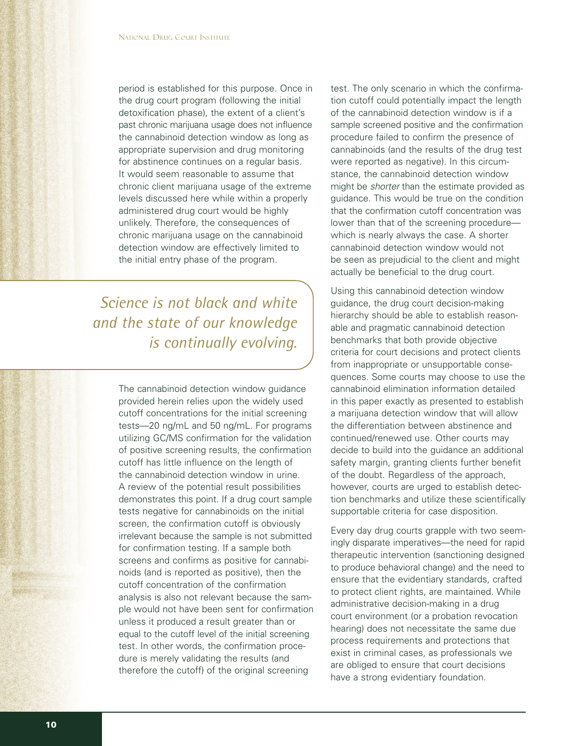period is established for this purpose. Once in the drug court program (following the initial detoxification phase), the extent of a client's past chronic marijuana usage does not influence the cannabinoid detection window as long as appropriate supervision and drug monitoring for abstinence continues on a regular basis. It would seem reasonable to assume that chronic client marijuana usage of the extreme levels discussed here while within a properly administered drug court would be highly unlikely. Therefore, the consequences of chronic marijuana usage on the cannabinoid detection window are effectively limited to the initial entry phase of the program.

*Science is not black and white and the state of our knowledge is continually evolving.*

> The cannabinoid detection window guidance provided herein relies upon the widely used cutoff concentrations for the initial screening tests—20 ng/mL and 50 ng/mL. For programs utilizing GC/MS confirmation for the validation of positive screening results, the confirmation cutoff has little influence on the length of the cannabinoid detection window in urine. A review of the potential result possibilities demonstrates this point. If a drug court sample tests negative for cannabinoids on the initial screen, the confirmation cutoff is obviously irrelevant because the sample is not submitted for confirmation testing. If a sample both screens and confirms as positive for cannabinoids (and is reported as positive), then the cutoff concentration of the confirmation analysis is also not relevant because the sample would not have been sent for confirmation unless it produced a result greater than or equal to the cutoff level of the initial screening test. In other words, the confirmation procedure is merely validating the results (and therefore the cutoff) of the original screening

test. The only scenario in which the confirmation cutoff could potentially impact the length of the cannabinoid detection window is if a sample screened positive and the confirmation procedure failed to confirm the presence of cannabinoids (and the results of the drug test were reported as negative). In this circumstance, the cannabinoid detection window might be *shorter* than the estimate provided as guidance. This would be true on the condition that the confirmation cutoff concentration was lower than that of the screening procedure which is nearly always the case. A shorter cannabinoid detection window would not be seen as prejudicial to the client and might actually be beneficial to the drug court.

Using this cannabinoid detection window guidance, the drug court decision-making hierarchy should be able to establish reasonable and pragmatic cannabinoid detection benchmarks that both provide objective criteria for court decisions and protect clients from inappropriate or unsupportable consequences. Some courts may choose to use the cannabinoid elimination information detailed in this paper exactly as presented to establish a marijuana detection window that will allow the differentiation between abstinence and continued/renewed use. Other courts may decide to build into the guidance an additional safety margin, granting clients further benefit of the doubt. Regardless of the approach, however, courts are urged to establish detection benchmarks and utilize these scientifically supportable criteria for case disposition.

Every day drug courts grapple with two seemingly disparate imperatives—the need for rapid therapeutic intervention (sanctioning designed to produce behavioral change) and the need to ensure that the evidentiary standards, crafted to protect client rights, are maintained. While administrative decision-making in a drug court environment (or a probation revocation hearing) does not necessitate the same due process requirements and protections that exist in criminal cases, as professionals we are obliged to ensure that court decisions have a strong evidentiary foundation.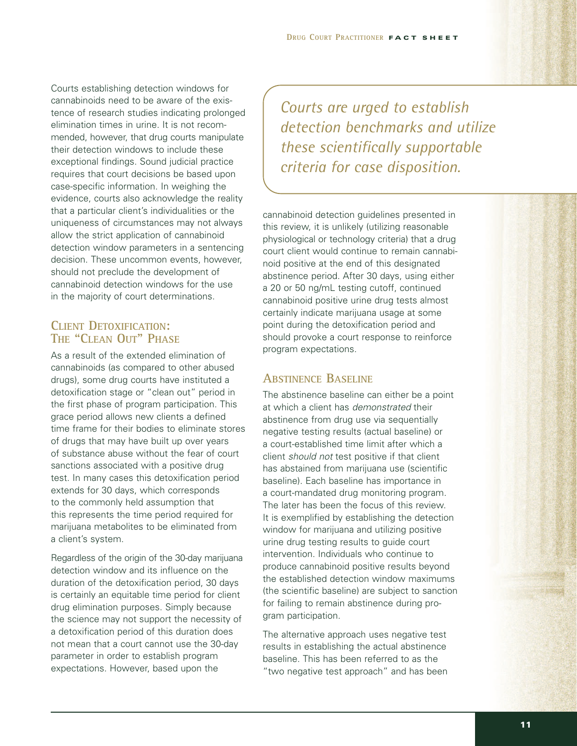Courts establishing detection windows for cannabinoids need to be aware of the existence of research studies indicating prolonged elimination times in urine. It is not recommended, however, that drug courts manipulate their detection windows to include these exceptional findings. Sound judicial practice requires that court decisions be based upon case-specific information. In weighing the evidence, courts also acknowledge the reality that a particular client's individualities or the uniqueness of circumstances may not always allow the strict application of cannabinoid detection window parameters in a sentencing decision. These uncommon events, however, should not preclude the development of cannabinoid detection windows for the use in the majority of court determinations.

#### **CLIENT DETOXIFICATION: THE "CLEAN OUT" PHASE**

As a result of the extended elimination of cannabinoids (as compared to other abused drugs), some drug courts have instituted a detoxification stage or "clean out" period in the first phase of program participation. This grace period allows new clients a defined time frame for their bodies to eliminate stores of drugs that may have built up over years of substance abuse without the fear of court sanctions associated with a positive drug test. In many cases this detoxification period extends for 30 days, which corresponds to the commonly held assumption that this represents the time period required for marijuana metabolites to be eliminated from a client's system.

Regardless of the origin of the 30-day marijuana detection window and its influence on the duration of the detoxification period, 30 days is certainly an equitable time period for client drug elimination purposes. Simply because the science may not support the necessity of a detoxification period of this duration does not mean that a court cannot use the 30-day parameter in order to establish program expectations. However, based upon the

*Courts are urged to establish detection benchmarks and utilize these scientifically supportable criteria for case disposition.*

cannabinoid detection guidelines presented in this review, it is unlikely (utilizing reasonable physiological or technology criteria) that a drug court client would continue to remain cannabinoid positive at the end of this designated abstinence period. After 30 days, using either a 20 or 50 ng/mL testing cutoff, continued cannabinoid positive urine drug tests almost certainly indicate marijuana usage at some point during the detoxification period and should provoke a court response to reinforce program expectations.

#### **ABSTINENCE BASELINE**

The abstinence baseline can either be a point at which a client has *demonstrated* their abstinence from drug use via sequentially negative testing results (actual baseline) or a court-established time limit after which a client *should not* test positive if that client has abstained from marijuana use (scientific baseline). Each baseline has importance in a court-mandated drug monitoring program. The later has been the focus of this review. It is exemplified by establishing the detection window for marijuana and utilizing positive urine drug testing results to guide court intervention. Individuals who continue to produce cannabinoid positive results beyond the established detection window maximums (the scientific baseline) are subject to sanction for failing to remain abstinence during program participation.

The alternative approach uses negative test results in establishing the actual abstinence baseline. This has been referred to as the "two negative test approach" and has been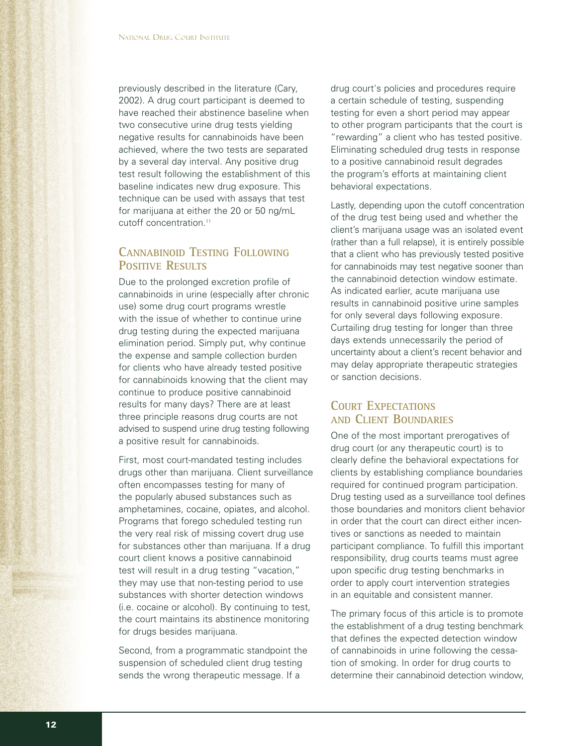previously described in the literature (Cary, 2002). A drug court participant is deemed to have reached their abstinence baseline when two consecutive urine drug tests yielding negative results for cannabinoids have been achieved, where the two tests are separated by a several day interval. Any positive drug test result following the establishment of this baseline indicates new drug exposure. This technique can be used with assays that test for marijuana at either the 20 or 50 ng/mL cutoff concentration.<sup>11</sup>

## **CANNABINOID TESTING FOLLOWING POSITIVE RESULTS**

Due to the prolonged excretion profile of cannabinoids in urine (especially after chronic use) some drug court programs wrestle with the issue of whether to continue urine drug testing during the expected marijuana elimination period. Simply put, why continue the expense and sample collection burden for clients who have already tested positive for cannabinoids knowing that the client may continue to produce positive cannabinoid results for many days? There are at least three principle reasons drug courts are not advised to suspend urine drug testing following a positive result for cannabinoids.

First, most court-mandated testing includes drugs other than marijuana. Client surveillance often encompasses testing for many of the popularly abused substances such as amphetamines, cocaine, opiates, and alcohol. Programs that forego scheduled testing run the very real risk of missing covert drug use for substances other than marijuana. If a drug court client knows a positive cannabinoid test will result in a drug testing "vacation," they may use that non-testing period to use substances with shorter detection windows (i.e. cocaine or alcohol). By continuing to test, the court maintains its abstinence monitoring for drugs besides marijuana.

Second, from a programmatic standpoint the suspension of scheduled client drug testing sends the wrong therapeutic message. If a

drug court's policies and procedures require a certain schedule of testing, suspending testing for even a short period may appear to other program participants that the court is "rewarding" a client who has tested positive. Eliminating scheduled drug tests in response to a positive cannabinoid result degrades the program's efforts at maintaining client behavioral expectations.

Lastly, depending upon the cutoff concentration of the drug test being used and whether the client's marijuana usage was an isolated event (rather than a full relapse), it is entirely possible that a client who has previously tested positive for cannabinoids may test negative sooner than the cannabinoid detection window estimate. As indicated earlier, acute marijuana use results in cannabinoid positive urine samples for only several days following exposure. Curtailing drug testing for longer than three days extends unnecessarily the period of uncertainty about a client's recent behavior and may delay appropriate therapeutic strategies or sanction decisions.

### **COURT EXPECTATIONS AND CLIENT BOUNDARIES**

One of the most important prerogatives of drug court (or any therapeutic court) is to clearly define the behavioral expectations for clients by establishing compliance boundaries required for continued program participation. Drug testing used as a surveillance tool defines those boundaries and monitors client behavior in order that the court can direct either incentives or sanctions as needed to maintain participant compliance. To fulfill this important responsibility, drug courts teams must agree upon specific drug testing benchmarks in order to apply court intervention strategies in an equitable and consistent manner.

The primary focus of this article is to promote the establishment of a drug testing benchmark that defines the expected detection window of cannabinoids in urine following the cessation of smoking. In order for drug courts to determine their cannabinoid detection window,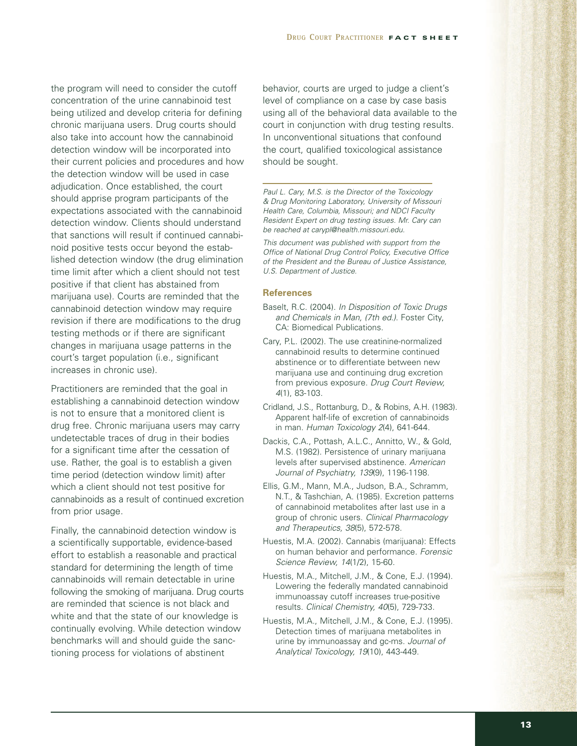the program will need to consider the cutoff concentration of the urine cannabinoid test being utilized and develop criteria for defining chronic marijuana users. Drug courts should also take into account how the cannabinoid detection window will be incorporated into their current policies and procedures and how the detection window will be used in case adjudication. Once established, the court should apprise program participants of the expectations associated with the cannabinoid detection window. Clients should understand that sanctions will result if continued cannabinoid positive tests occur beyond the established detection window (the drug elimination time limit after which a client should not test positive if that client has abstained from marijuana use). Courts are reminded that the cannabinoid detection window may require revision if there are modifications to the drug testing methods or if there are significant changes in marijuana usage patterns in the court's target population (i.e., significant increases in chronic use).

Practitioners are reminded that the goal in establishing a cannabinoid detection window is not to ensure that a monitored client is drug free. Chronic marijuana users may carry undetectable traces of drug in their bodies for a significant time after the cessation of use. Rather, the goal is to establish a given time period (detection window limit) after which a client should not test positive for cannabinoids as a result of continued excretion from prior usage.

Finally, the cannabinoid detection window is a scientifically supportable, evidence-based effort to establish a reasonable and practical standard for determining the length of time cannabinoids will remain detectable in urine following the smoking of marijuana. Drug courts are reminded that science is not black and white and that the state of our knowledge is continually evolving. While detection window benchmarks will and should guide the sanctioning process for violations of abstinent

behavior, courts are urged to judge a client's level of compliance on a case by case basis using all of the behavioral data available to the court in conjunction with drug testing results. In unconventional situations that confound the court, qualified toxicological assistance should be sought.

*Paul L. Cary, M.S. is the Director of the Toxicology & Drug Monitoring Laboratory, University of Missouri Health Care, Columbia, Missouri; and NDCI Faculty Resident Expert on drug testing issues. Mr. Cary can be reached at carypl@health.missouri.edu.*

*This document was published with support from the Office of National Drug Control Policy, Executive Office of the President and the Bureau of Justice Assistance, U.S. Department of Justice.*

#### **References**

- Baselt, R.C. (2004). *In Disposition of Toxic Drugs and Chemicals in Man, (7th ed.)*. Foster City, CA: Biomedical Publications.
- Cary, P.L. (2002). The use creatinine-normalized cannabinoid results to determine continued abstinence or to differentiate between new marijuana use and continuing drug excretion from previous exposure. *Drug Court Review, 4*(1), 83-103.
- Cridland, J.S., Rottanburg, D., & Robins, A.H. (1983). Apparent half-life of excretion of cannabinoids in man. *Human Toxicology 2*(4), 641-644.
- Dackis, C.A., Pottash, A.L.C., Annitto, W., & Gold, M.S. (1982). Persistence of urinary marijuana levels after supervised abstinence. *American Journal of Psychiatry, 139*(9), 1196-1198.
- Ellis, G.M., Mann, M.A., Judson, B.A., Schramm, N.T., & Tashchian, A. (1985). Excretion patterns of cannabinoid metabolites after last use in a group of chronic users. *Clinical Pharmacology and Therapeutics, 38*(5), 572-578.
- Huestis, M.A. (2002). Cannabis (marijuana): Effects on human behavior and performance. *Forensic Science Review, 14*(1/2), 15-60.
- Huestis, M.A., Mitchell, J.M., & Cone, E.J. (1994). Lowering the federally mandated cannabinoid immunoassay cutoff increases true-positive results. *Clinical Chemistry, 40*(5), 729-733.
- Huestis, M.A., Mitchell, J.M., & Cone, E.J. (1995). Detection times of marijuana metabolites in urine by immunoassay and gc-ms. *Journal of Analytical Toxicology, 19*(10), 443-449.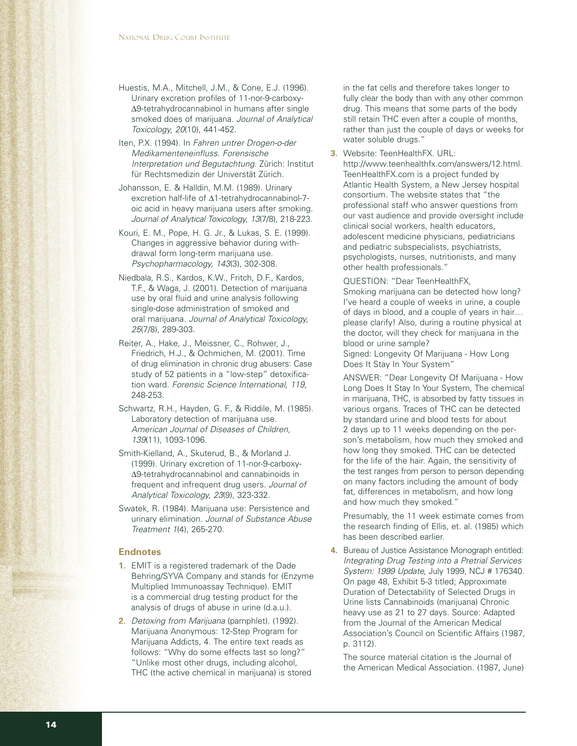Huestis, M.A., Mitchell, J.M., & Cone, E.J. (1996). Urinary excretion profiles of 11-nor-9-carboxy- ∆9-tetrahydrocannabinol in humans after single smoked does of marijuana. *Journal of Analytical Toxicology, 20*(10), 441-452.

Iten, P.X. (1994). In *Fahren untrer Drogen-o-der Medikamenteneinfluss. Forensische Interpretation und Begutachtung*. Zürich: Institut für Rechtsmedizin der Universtät Zürich.

- Johansson, E. & Halldin, M.M. (1989). Urinary excretion half-life of ∆1-tetrahydrocannabinol-7 oic acid in heavy marijuana users after smoking. *Journal of Analytical Toxicology, 13*(7/8), 218-223.
- Kouri, E. M., Pope, H. G. Jr., & Lukas, S. E. (1999). Changes in aggressive behavior during withdrawal form long-term marijuana use. *Psychopharmacology, 143*(3), 302-308.
- Niedbala, R.S., Kardos, K.W., Fritch, D.F., Kardos, T.F., & Waga, J. (2001). Detection of marijuana use by oral fluid and urine analysis following single-dose administration of smoked and oral marijuana. *Journal of Analytical Toxicology, 25*(7/8), 289-303.
- Reiter, A., Hake, J., Meissner, C., Rohwer, J., Friedrich, H.J., & Ochmichen, M. (2001). Time of drug elimination in chronic drug abusers: Case study of 52 patients in a "low-step" detoxification ward. *Forensic Science International, 119*, 248-253.
- Schwartz, R.H., Hayden, G. F., & Riddile, M. (1985). Laboratory detection of marijuana use. *American Journal of Diseases of Children, 139*(11), 1093-1096.
- Smith-Kielland, A., Skuterud, B., & Morland J. (1999). Urinary excretion of 11-nor-9-carboxy- ∆9-tetrahydrocannabinol and cannabinoids in frequent and infrequent drug users. *Journal of Analytical Toxicology, 23*(9), 323-332.
- Swatek, R. (1984). Marijuana use: Persistence and urinary elimination. *Journal of Substance Abuse Treatment 1*(4), 265-270.

#### **Endnotes**

- **1.** EMIT is a registered trademark of the Dade Behring/SYVA Company and stands for (Enzyme Multiplied Immunoassay Technique). EMIT is a commercial drug testing product for the analysis of drugs of abuse in urine (d.a.u.).
- **2.** *Detoxing from Marijuana* (pamphlet). (1992). Marijuana Anonymous: 12-Step Program for Marijuana Addicts, 4. The entire text reads as follows: "Why do some effects last so long?" "Unlike most other drugs, including alcohol, THC (the active chemical in marijuana) is stored

in the fat cells and therefore takes longer to fully clear the body than with any other common drug. This means that some parts of the body still retain THC even after a couple of months, rather than just the couple of days or weeks for water soluble drugs."

**3.** Website: TeenHealthFX. URL: http://www.teenhealthfx.com/answers/12.html. TeenHealthFX.com is a project funded by Atlantic Health System, a New Jersey hospital consortium. The website states that "the professional staff who answer questions from our vast audience and provide oversight include clinical social workers, health educators, adolescent medicine physicians, pediatricians and pediatric subspecialists, psychiatrists, psychologists, nurses, nutritionists, and many other health professionals."

QUESTION: "Dear TeenHealthFX, Smoking marijuana can be detected how long? I've heard a couple of weeks in urine, a couple of days in blood, and a couple of years in hair… please clarify! Also, during a routine physical at the doctor, will they check for marijuana in the

Signed: Longevity Of Marijuana - How Long Does It Stay In Your System"

blood or urine sample?

ANSWER: "Dear Longevity Of Marijuana - How Long Does It Stay In Your System, The chemical in marijuana, THC, is absorbed by fatty tissues in various organs. Traces of THC can be detected by standard urine and blood tests for about 2 days up to 11 weeks depending on the person's metabolism, how much they smoked and how long they smoked. THC can be detected for the life of the hair. Again, the sensitivity of the test ranges from person to person depending on many factors including the amount of body fat, differences in metabolism, and how long and how much they smoked."

Presumably, the 11 week estimate comes from the research finding of Ellis, et. al. (1985) which has been described earlier.

**4.** Bureau of Justice Assistance Monograph entitled: *Integrating Drug Testing into a Pretrial Services System: 1999 Update*, July 1999, NCJ # 176340. On page 48, Exhibit 5-3 titled; Approximate Duration of Detectability of Selected Drugs in Urine lists Cannabinoids (marijuana) Chronic heavy use as 21 to 27 days. Source: Adapted from the Journal of the American Medical Association's Council on Scientific Affairs (1987, p. 3112).

The source material citation is the Journal of the American Medical Association. (1987, June)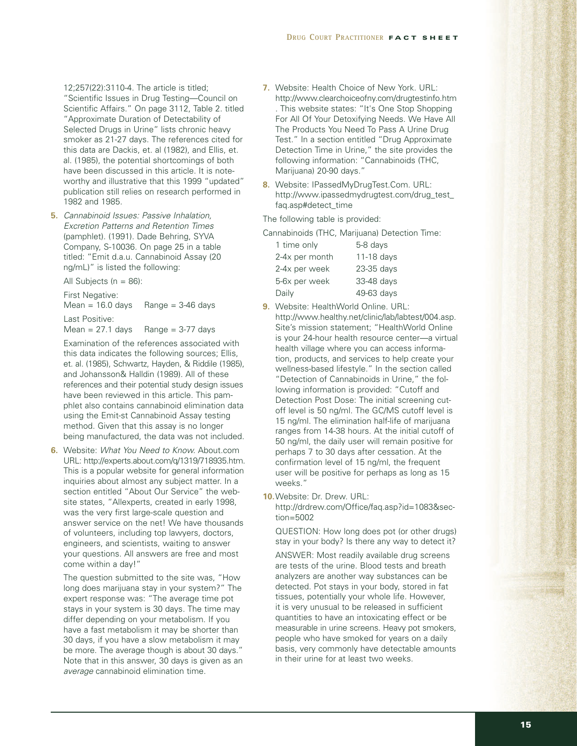12;257(22):3110-4. The article is titled; "Scientific Issues in Drug Testing—Council on Scientific Affairs." On page 3112, Table 2. titled "Approximate Duration of Detectability of Selected Drugs in Urine" lists chronic heavy smoker as 21-27 days. The references cited for this data are Dackis, et. al (1982), and Ellis, et. al. (1985), the potential shortcomings of both have been discussed in this article. It is noteworthy and illustrative that this 1999 "updated" publication still relies on research performed in 1982 and 1985.

**5.** *Cannabinoid Issues: Passive Inhalation, Excretion Patterns and Retention Times* (pamphlet). (1991). Dade Behring, SYVA Company, S-10036. On page 25 in a table titled: "Emit d.a.u. Cannabinoid Assay (20 ng/mL)" is listed the following:

All Subjects ( $n = 86$ ):

First Negative:<br>Mean = 16.0 days  $Range = 3-46 \text{ days}$ 

Last Positive:

Mean  $= 27.1$  days Range  $= 3-77$  days

Examination of the references associated with this data indicates the following sources; Ellis, et. al. (1985), Schwartz, Hayden, & Riddile (1985), and Johansson& Halldin (1989). All of these references and their potential study design issues have been reviewed in this article. This pamphlet also contains cannabinoid elimination data using the Emit-st Cannabinoid Assay testing method. Given that this assay is no longer being manufactured, the data was not included.

**6.** Website: *What You Need to Know.* About.com URL: http://experts.about.com/q/1319/718935.htm. This is a popular website for general information inquiries about almost any subject matter. In a section entitled "About Our Service" the website states, "Allexperts, created in early 1998, was the very first large-scale question and answer service on the net! We have thousands of volunteers, including top lawyers, doctors, engineers, and scientists, waiting to answer your questions. All answers are free and most come within a day!"

The question submitted to the site was, "How long does marijuana stay in your system?" The expert response was: "The average time pot stays in your system is 30 days. The time may differ depending on your metabolism. If you have a fast metabolism it may be shorter than 30 days, if you have a slow metabolism it may be more. The average though is about 30 days." Note that in this answer, 30 days is given as an *average* cannabinoid elimination time.

- **7.** Website: Health Choice of New York. URL: http://www.clearchoiceofny.com/drugtestinfo.htm . This website states: "It's One Stop Shopping For All Of Your Detoxifying Needs. We Have All The Products You Need To Pass A Urine Drug Test." In a section entitled "Drug Approximate Detection Time in Urine," the site provides the following information: "Cannabinoids (THC, Marijuana) 20-90 days."
- **8.** Website: IPassedMyDrugTest.Com. URL: http://www.ipassedmydrugtest.com/drug\_test\_ faq.asp#detect\_time

The following table is provided:

Cannabinoids (THC, Marijuana) Detection Time:

| 1 time only    | 5-8 days   |
|----------------|------------|
| 2-4x per month | 11-18 days |
| 2-4x per week  | 23-35 days |
| 5-6x per week  | 33-48 days |
| Daily          | 49-63 days |

- **9.** Website: HealthWorld Online. URL: http://www.healthy.net/clinic/lab/labtest/004.asp. Site's mission statement; "HealthWorld Online is your 24-hour health resource center—a virtual health village where you can access information, products, and services to help create your wellness-based lifestyle." In the section called "Detection of Cannabinoids in Urine," the following information is provided: "Cutoff and Detection Post Dose: The initial screening cutoff level is 50 ng/ml. The GC/MS cutoff level is 15 ng/ml. The elimination half-life of marijuana ranges from 14-38 hours. At the initial cutoff of 50 ng/ml, the daily user will remain positive for perhaps 7 to 30 days after cessation. At the confirmation level of 15 ng/ml, the frequent user will be positive for perhaps as long as 15 weeks."
- **10.**Website: Dr. Drew. URL: http://drdrew.com/Office/faq.asp?id=1083&section=5002

QUESTION: How long does pot (or other drugs) stay in your body? Is there any way to detect it?

ANSWER: Most readily available drug screens are tests of the urine. Blood tests and breath analyzers are another way substances can be detected. Pot stays in your body, stored in fat tissues, potentially your whole life. However, it is very unusual to be released in sufficient quantities to have an intoxicating effect or be measurable in urine screens. Heavy pot smokers, people who have smoked for years on a daily basis, very commonly have detectable amounts in their urine for at least two weeks.